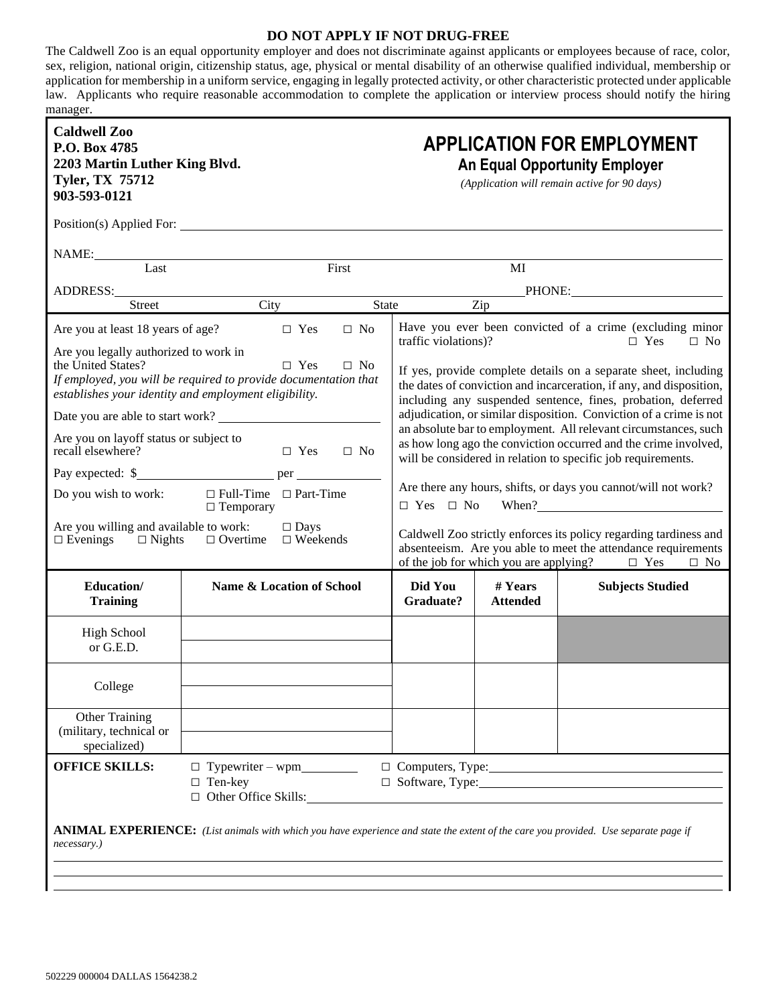## **DO NOT APPLY IF NOT DRUG-FREE**

The Caldwell Zoo is an equal opportunity employer and does not discriminate against applicants or employees because of race, color, sex, religion, national origin, citizenship status, age, physical or mental disability of an otherwise qualified individual, membership or application for membership in a uniform service, engaging in legally protected activity, or other characteristic protected under applicable law. Applicants who require reasonable accommodation to complete the application or interview process should notify the hiring manager.

| <b>Caldwell Zoo</b><br>P.O. Box 4785<br>2203 Martin Luther King Blvd.<br><b>Tyler, TX 75712</b><br>903-593-0121                                                                                                    |                                                                                                                                                                                                                                |              |                                                                                                                                                                                                                                                                                                                                                                                                                                                                                    |                            | <b>APPLICATION FOR EMPLOYMENT</b><br><b>An Equal Opportunity Employer</b><br>(Application will remain active for 90 days)                  |
|--------------------------------------------------------------------------------------------------------------------------------------------------------------------------------------------------------------------|--------------------------------------------------------------------------------------------------------------------------------------------------------------------------------------------------------------------------------|--------------|------------------------------------------------------------------------------------------------------------------------------------------------------------------------------------------------------------------------------------------------------------------------------------------------------------------------------------------------------------------------------------------------------------------------------------------------------------------------------------|----------------------------|--------------------------------------------------------------------------------------------------------------------------------------------|
|                                                                                                                                                                                                                    | Position(s) Applied For:                                                                                                                                                                                                       |              |                                                                                                                                                                                                                                                                                                                                                                                                                                                                                    |                            |                                                                                                                                            |
| NAME:<br>Last<br>Last                                                                                                                                                                                              |                                                                                                                                                                                                                                | First        |                                                                                                                                                                                                                                                                                                                                                                                                                                                                                    | MI                         |                                                                                                                                            |
|                                                                                                                                                                                                                    | ADDRESS: North Contract of the Contract of the Contract of the Contract of the Contract of the Contract of the Contract of the Contract of the Contract of the Contract of the Contract of the Contract of the Contract of the |              |                                                                                                                                                                                                                                                                                                                                                                                                                                                                                    |                            | PHONE: PHONE:                                                                                                                              |
| <b>Street</b>                                                                                                                                                                                                      | City                                                                                                                                                                                                                           | <b>State</b> |                                                                                                                                                                                                                                                                                                                                                                                                                                                                                    | Zip                        |                                                                                                                                            |
| Are you at least 18 years of age?                                                                                                                                                                                  | $\Box$ Yes                                                                                                                                                                                                                     | $\Box$ No    | traffic violations)?                                                                                                                                                                                                                                                                                                                                                                                                                                                               |                            | Have you ever been convicted of a crime (excluding minor<br>$\Box$ Yes<br>$\Box$ No                                                        |
| Are you legally authorized to work in<br>the United States?<br>$\Box$ Yes<br>$\Box$ No<br>If employed, you will be required to provide documentation that<br>establishes your identity and employment eligibility. |                                                                                                                                                                                                                                |              | If yes, provide complete details on a separate sheet, including<br>the dates of conviction and incarceration, if any, and disposition,<br>including any suspended sentence, fines, probation, deferred<br>adjudication, or similar disposition. Conviction of a crime is not<br>an absolute bar to employment. All relevant circumstances, such<br>as how long ago the conviction occurred and the crime involved,<br>will be considered in relation to specific job requirements. |                            |                                                                                                                                            |
| Date you are able to start work?                                                                                                                                                                                   |                                                                                                                                                                                                                                |              |                                                                                                                                                                                                                                                                                                                                                                                                                                                                                    |                            |                                                                                                                                            |
| Are you on layoff status or subject to<br>recall elsewhere?<br>$\Box$ Yes<br>$\Box$ No                                                                                                                             |                                                                                                                                                                                                                                |              |                                                                                                                                                                                                                                                                                                                                                                                                                                                                                    |                            |                                                                                                                                            |
|                                                                                                                                                                                                                    |                                                                                                                                                                                                                                |              |                                                                                                                                                                                                                                                                                                                                                                                                                                                                                    |                            |                                                                                                                                            |
| $\Box$ Full-Time $\Box$ Part-Time<br>Do you wish to work:<br>$\Box$ Temporary                                                                                                                                      |                                                                                                                                                                                                                                |              | Are there any hours, shifts, or days you cannot/will not work?<br>$\square$ Yes $\square$ No When?                                                                                                                                                                                                                                                                                                                                                                                 |                            |                                                                                                                                            |
| Are you willing and available to work:<br>$\Box$ Days<br>$\Box$ Evenings<br>$\Box$ Nights<br>$\Box$ Overtime<br>$\Box$ Weekends                                                                                    |                                                                                                                                                                                                                                |              | Caldwell Zoo strictly enforces its policy regarding tardiness and<br>absenteeism. Are you able to meet the attendance requirements<br>of the job for which you are applying?<br>$\Box$ Yes<br>$\Box$ No                                                                                                                                                                                                                                                                            |                            |                                                                                                                                            |
| Education/<br><b>Training</b>                                                                                                                                                                                      | Name & Location of School                                                                                                                                                                                                      |              | Did You<br>Graduate?                                                                                                                                                                                                                                                                                                                                                                                                                                                               | # Years<br><b>Attended</b> | <b>Subjects Studied</b>                                                                                                                    |
| <b>High School</b><br>or G.E.D.                                                                                                                                                                                    |                                                                                                                                                                                                                                |              |                                                                                                                                                                                                                                                                                                                                                                                                                                                                                    |                            |                                                                                                                                            |
| College                                                                                                                                                                                                            |                                                                                                                                                                                                                                |              |                                                                                                                                                                                                                                                                                                                                                                                                                                                                                    |                            |                                                                                                                                            |
| Other Training<br>(military, technical or<br>specialized)                                                                                                                                                          |                                                                                                                                                                                                                                |              |                                                                                                                                                                                                                                                                                                                                                                                                                                                                                    |                            |                                                                                                                                            |
| <b>OFFICE SKILLS:</b>                                                                                                                                                                                              | $\Box$ Ten-key<br>$\Box$ Other Office Skills:                                                                                                                                                                                  |              |                                                                                                                                                                                                                                                                                                                                                                                                                                                                                    |                            | $\Box$ Software, Type:                                                                                                                     |
| necessary.)                                                                                                                                                                                                        |                                                                                                                                                                                                                                |              |                                                                                                                                                                                                                                                                                                                                                                                                                                                                                    |                            | <b>ANIMAL EXPERIENCE:</b> (List animals with which you have experience and state the extent of the care you provided. Use separate page if |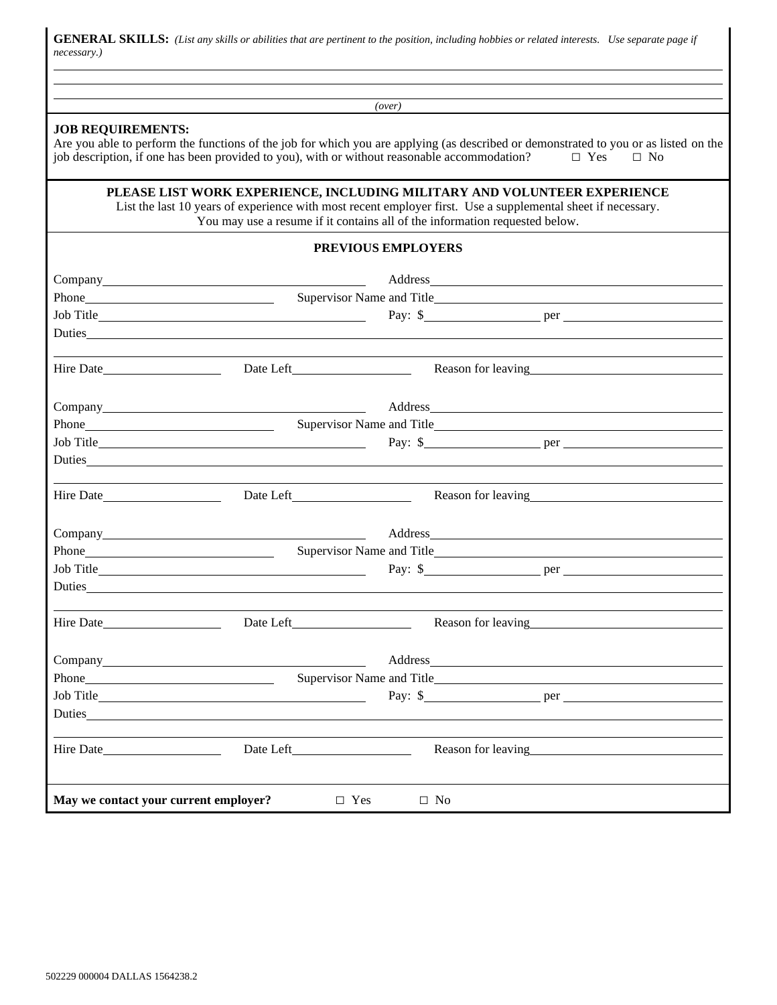GENERAL SKILLS: (List any skills or abilities that are pertinent to the position, including hobbies or related interests. Use separate page if *necessary.)*

| (over)<br><b>JOB REQUIREMENTS:</b><br>job description, if one has been provided to you), with or without reasonable accommodation?<br>$\Box$ Yes<br>$\Box$ No<br>PLEASE LIST WORK EXPERIENCE, INCLUDING MILITARY AND VOLUNTEER EXPERIENCE<br>List the last 10 years of experience with most recent employer first. Use a supplemental sheet if necessary.<br>You may use a resume if it contains all of the information requested below.<br><b>PREVIOUS EMPLOYERS</b><br>Phone Phone<br>Duties<br>Reason for leaving the state of the state of the state of the state of the state of the state of the state of the state of the state of the state of the state of the state of the state of the state of the state of the stat<br>Address and the contract of the contract of the contract of the contract of the contract of the contract of the contract of the contract of the contract of the contract of the contract of the contract of the contract of th<br>Phone Phone<br>Reason for leaving<br><u>example and</u> the set of the set of the set of the set of the set of the set of the set of the set of the set of the set of the set of the set of the set of the set of the set of the set of the set of t<br>Address and the contract of the contract of the contract of the contract of the contract of the contract of the contract of the contract of the contract of the contract of the contract of the contract of the contract of th<br>Phone Supervisor Name and Title Supervisor Name and Title Supervisor Name and Title Supervisor Name and Title<br>Hire Date<br>Reason for leaving<br><u>example</u><br>Pay: $\quad \bullet$ per per per<br>Reason for leaving the state of the state of the state of the state of the state of the state of the state of the state of the state of the state of the state of the state of the state of the state of the state of the stat<br>Hire Date <b>Selection</b> |                                                                                                                                      |  |  |  |  |  |  |  |
|----------------------------------------------------------------------------------------------------------------------------------------------------------------------------------------------------------------------------------------------------------------------------------------------------------------------------------------------------------------------------------------------------------------------------------------------------------------------------------------------------------------------------------------------------------------------------------------------------------------------------------------------------------------------------------------------------------------------------------------------------------------------------------------------------------------------------------------------------------------------------------------------------------------------------------------------------------------------------------------------------------------------------------------------------------------------------------------------------------------------------------------------------------------------------------------------------------------------------------------------------------------------------------------------------------------------------------------------------------------------------------------------------------------------------------------------------------------------------------------------------------------------------------------------------------------------------------------------------------------------------------------------------------------------------------------------------------------------------------------------------------------------------------------------------------------------------------------------------------------------------------------------------------------------------------------|--------------------------------------------------------------------------------------------------------------------------------------|--|--|--|--|--|--|--|
|                                                                                                                                                                                                                                                                                                                                                                                                                                                                                                                                                                                                                                                                                                                                                                                                                                                                                                                                                                                                                                                                                                                                                                                                                                                                                                                                                                                                                                                                                                                                                                                                                                                                                                                                                                                                                                                                                                                                        |                                                                                                                                      |  |  |  |  |  |  |  |
|                                                                                                                                                                                                                                                                                                                                                                                                                                                                                                                                                                                                                                                                                                                                                                                                                                                                                                                                                                                                                                                                                                                                                                                                                                                                                                                                                                                                                                                                                                                                                                                                                                                                                                                                                                                                                                                                                                                                        | Are you able to perform the functions of the job for which you are applying (as described or demonstrated to you or as listed on the |  |  |  |  |  |  |  |
|                                                                                                                                                                                                                                                                                                                                                                                                                                                                                                                                                                                                                                                                                                                                                                                                                                                                                                                                                                                                                                                                                                                                                                                                                                                                                                                                                                                                                                                                                                                                                                                                                                                                                                                                                                                                                                                                                                                                        |                                                                                                                                      |  |  |  |  |  |  |  |
|                                                                                                                                                                                                                                                                                                                                                                                                                                                                                                                                                                                                                                                                                                                                                                                                                                                                                                                                                                                                                                                                                                                                                                                                                                                                                                                                                                                                                                                                                                                                                                                                                                                                                                                                                                                                                                                                                                                                        |                                                                                                                                      |  |  |  |  |  |  |  |
|                                                                                                                                                                                                                                                                                                                                                                                                                                                                                                                                                                                                                                                                                                                                                                                                                                                                                                                                                                                                                                                                                                                                                                                                                                                                                                                                                                                                                                                                                                                                                                                                                                                                                                                                                                                                                                                                                                                                        |                                                                                                                                      |  |  |  |  |  |  |  |
|                                                                                                                                                                                                                                                                                                                                                                                                                                                                                                                                                                                                                                                                                                                                                                                                                                                                                                                                                                                                                                                                                                                                                                                                                                                                                                                                                                                                                                                                                                                                                                                                                                                                                                                                                                                                                                                                                                                                        |                                                                                                                                      |  |  |  |  |  |  |  |
|                                                                                                                                                                                                                                                                                                                                                                                                                                                                                                                                                                                                                                                                                                                                                                                                                                                                                                                                                                                                                                                                                                                                                                                                                                                                                                                                                                                                                                                                                                                                                                                                                                                                                                                                                                                                                                                                                                                                        |                                                                                                                                      |  |  |  |  |  |  |  |
|                                                                                                                                                                                                                                                                                                                                                                                                                                                                                                                                                                                                                                                                                                                                                                                                                                                                                                                                                                                                                                                                                                                                                                                                                                                                                                                                                                                                                                                                                                                                                                                                                                                                                                                                                                                                                                                                                                                                        |                                                                                                                                      |  |  |  |  |  |  |  |
|                                                                                                                                                                                                                                                                                                                                                                                                                                                                                                                                                                                                                                                                                                                                                                                                                                                                                                                                                                                                                                                                                                                                                                                                                                                                                                                                                                                                                                                                                                                                                                                                                                                                                                                                                                                                                                                                                                                                        |                                                                                                                                      |  |  |  |  |  |  |  |
|                                                                                                                                                                                                                                                                                                                                                                                                                                                                                                                                                                                                                                                                                                                                                                                                                                                                                                                                                                                                                                                                                                                                                                                                                                                                                                                                                                                                                                                                                                                                                                                                                                                                                                                                                                                                                                                                                                                                        |                                                                                                                                      |  |  |  |  |  |  |  |
|                                                                                                                                                                                                                                                                                                                                                                                                                                                                                                                                                                                                                                                                                                                                                                                                                                                                                                                                                                                                                                                                                                                                                                                                                                                                                                                                                                                                                                                                                                                                                                                                                                                                                                                                                                                                                                                                                                                                        |                                                                                                                                      |  |  |  |  |  |  |  |
|                                                                                                                                                                                                                                                                                                                                                                                                                                                                                                                                                                                                                                                                                                                                                                                                                                                                                                                                                                                                                                                                                                                                                                                                                                                                                                                                                                                                                                                                                                                                                                                                                                                                                                                                                                                                                                                                                                                                        |                                                                                                                                      |  |  |  |  |  |  |  |
|                                                                                                                                                                                                                                                                                                                                                                                                                                                                                                                                                                                                                                                                                                                                                                                                                                                                                                                                                                                                                                                                                                                                                                                                                                                                                                                                                                                                                                                                                                                                                                                                                                                                                                                                                                                                                                                                                                                                        |                                                                                                                                      |  |  |  |  |  |  |  |
|                                                                                                                                                                                                                                                                                                                                                                                                                                                                                                                                                                                                                                                                                                                                                                                                                                                                                                                                                                                                                                                                                                                                                                                                                                                                                                                                                                                                                                                                                                                                                                                                                                                                                                                                                                                                                                                                                                                                        |                                                                                                                                      |  |  |  |  |  |  |  |
|                                                                                                                                                                                                                                                                                                                                                                                                                                                                                                                                                                                                                                                                                                                                                                                                                                                                                                                                                                                                                                                                                                                                                                                                                                                                                                                                                                                                                                                                                                                                                                                                                                                                                                                                                                                                                                                                                                                                        |                                                                                                                                      |  |  |  |  |  |  |  |
|                                                                                                                                                                                                                                                                                                                                                                                                                                                                                                                                                                                                                                                                                                                                                                                                                                                                                                                                                                                                                                                                                                                                                                                                                                                                                                                                                                                                                                                                                                                                                                                                                                                                                                                                                                                                                                                                                                                                        |                                                                                                                                      |  |  |  |  |  |  |  |
|                                                                                                                                                                                                                                                                                                                                                                                                                                                                                                                                                                                                                                                                                                                                                                                                                                                                                                                                                                                                                                                                                                                                                                                                                                                                                                                                                                                                                                                                                                                                                                                                                                                                                                                                                                                                                                                                                                                                        |                                                                                                                                      |  |  |  |  |  |  |  |
|                                                                                                                                                                                                                                                                                                                                                                                                                                                                                                                                                                                                                                                                                                                                                                                                                                                                                                                                                                                                                                                                                                                                                                                                                                                                                                                                                                                                                                                                                                                                                                                                                                                                                                                                                                                                                                                                                                                                        |                                                                                                                                      |  |  |  |  |  |  |  |
|                                                                                                                                                                                                                                                                                                                                                                                                                                                                                                                                                                                                                                                                                                                                                                                                                                                                                                                                                                                                                                                                                                                                                                                                                                                                                                                                                                                                                                                                                                                                                                                                                                                                                                                                                                                                                                                                                                                                        |                                                                                                                                      |  |  |  |  |  |  |  |
|                                                                                                                                                                                                                                                                                                                                                                                                                                                                                                                                                                                                                                                                                                                                                                                                                                                                                                                                                                                                                                                                                                                                                                                                                                                                                                                                                                                                                                                                                                                                                                                                                                                                                                                                                                                                                                                                                                                                        |                                                                                                                                      |  |  |  |  |  |  |  |
|                                                                                                                                                                                                                                                                                                                                                                                                                                                                                                                                                                                                                                                                                                                                                                                                                                                                                                                                                                                                                                                                                                                                                                                                                                                                                                                                                                                                                                                                                                                                                                                                                                                                                                                                                                                                                                                                                                                                        |                                                                                                                                      |  |  |  |  |  |  |  |
|                                                                                                                                                                                                                                                                                                                                                                                                                                                                                                                                                                                                                                                                                                                                                                                                                                                                                                                                                                                                                                                                                                                                                                                                                                                                                                                                                                                                                                                                                                                                                                                                                                                                                                                                                                                                                                                                                                                                        |                                                                                                                                      |  |  |  |  |  |  |  |
|                                                                                                                                                                                                                                                                                                                                                                                                                                                                                                                                                                                                                                                                                                                                                                                                                                                                                                                                                                                                                                                                                                                                                                                                                                                                                                                                                                                                                                                                                                                                                                                                                                                                                                                                                                                                                                                                                                                                        |                                                                                                                                      |  |  |  |  |  |  |  |
|                                                                                                                                                                                                                                                                                                                                                                                                                                                                                                                                                                                                                                                                                                                                                                                                                                                                                                                                                                                                                                                                                                                                                                                                                                                                                                                                                                                                                                                                                                                                                                                                                                                                                                                                                                                                                                                                                                                                        |                                                                                                                                      |  |  |  |  |  |  |  |
| May we contact your current employer?<br>$\Box$ Yes<br>$\Box$ No                                                                                                                                                                                                                                                                                                                                                                                                                                                                                                                                                                                                                                                                                                                                                                                                                                                                                                                                                                                                                                                                                                                                                                                                                                                                                                                                                                                                                                                                                                                                                                                                                                                                                                                                                                                                                                                                       |                                                                                                                                      |  |  |  |  |  |  |  |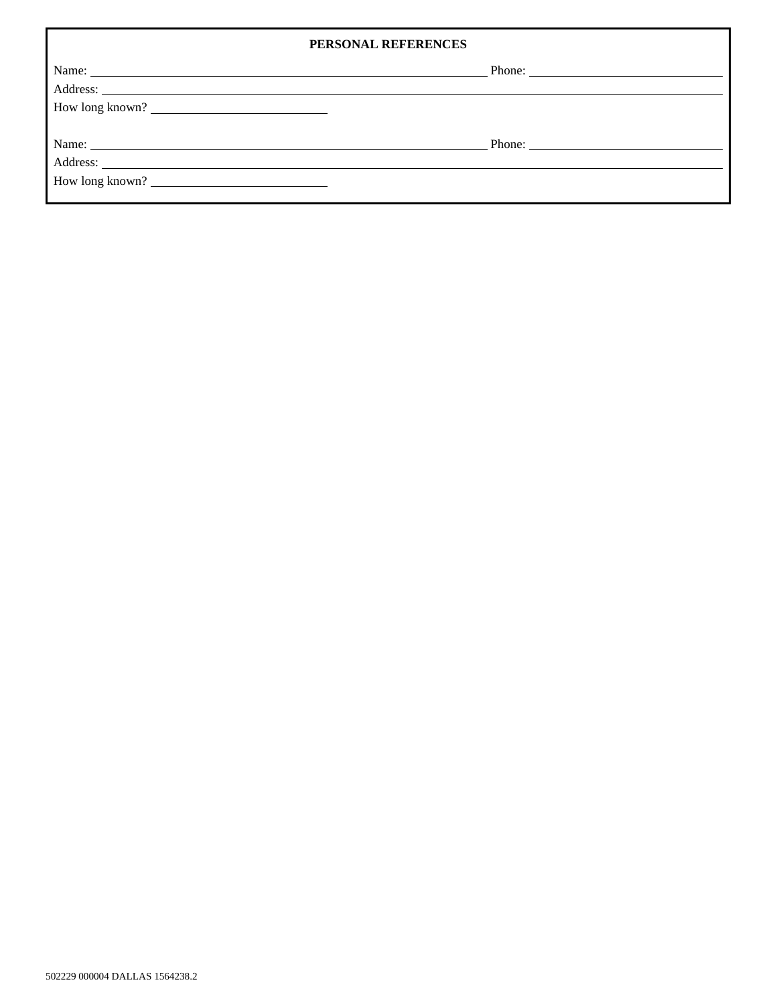|                 | PERSONAL REFERENCES    |
|-----------------|------------------------|
|                 | Phone: $\qquad \qquad$ |
|                 |                        |
| How long known? |                        |
|                 |                        |
|                 |                        |
|                 |                        |
| How long known? |                        |
|                 |                        |